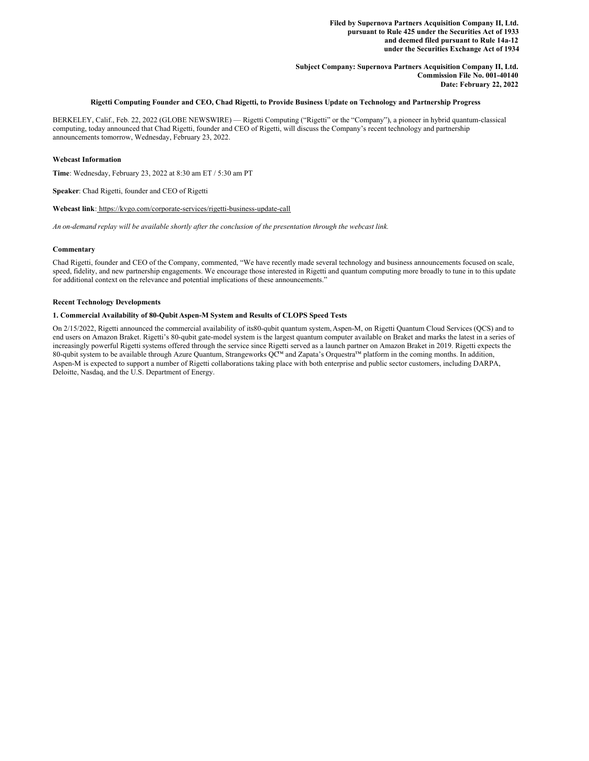**Filed by Supernova Partners Acquisition Company II, Ltd. pursuant to Rule 425 under the Securities Act of 1933 and deemed filed pursuant to Rule 14a-12 under the Securities Exchange Act of 1934**

**Subject Company: Supernova Partners Acquisition Company II, Ltd. Commission File No. 001-40140 Date: February 22, 2022**

# Rigetti Computing Founder and CEO, Chad Rigetti, to Provide Business Update on Technology and Partnership Progress

BERKELEY, Calif., Feb. 22, 2022 (GLOBE NEWSWIRE) — Rigetti Computing ("Rigetti" or the "Company"), a pioneer in hybrid quantum-classical computing, today announced that Chad Rigetti, founder and CEO of Rigetti, will discuss the Company's recent technology and partnership announcements tomorrow, Wednesday, February 23, 2022.

# **Webcast Information**

**Time**: Wednesday, February 23, 2022 at 8:30 am ET / 5:30 am PT

**Speaker**: Chad Rigetti, founder and CEO of Rigetti

### **Webcast link**: https://kvgo.com/corporate-services/rigetti-business-update-call

An on-demand replay will be available shortly after the conclusion of the presentation through the webcast link.

# **Commentary**

Chad Rigetti, founder and CEO of the Company, commented, "We have recently made several technology and business announcements focused on scale, speed, fidelity, and new partnership engagements. We encourage those interested in Rigetti and quantum computing more broadly to tune in to this update for additional context on the relevance and potential implications of these announcements."

# **Recent Technology Developments**

# **1. Commercial Availability of 80-Qubit Aspen-M System and Results of CLOPS Speed Tests**

On 2/15/2022, Rigetti announced the commercial availability of its80-qubit quantum system,Aspen-M, on Rigetti Quantum Cloud Services (QCS) and to end users on Amazon Braket. Rigetti's 80-qubit gate-model system is the largest quantum computer available on Braket and marks the latest in a series of increasingly powerful Rigetti systems offered through the service since Rigetti served as a launch partner on Amazon Braket in 2019. Rigetti expects the 80-qubit system to be available through Azure Quantum, Strangeworks QC<sup>™</sup> and Zapata's Orquestra<sup>™</sup> platform in the coming months. In addition, Aspen-M is expected to support a number of Rigetti collaborations taking place with both enterprise and public sector customers, including DARPA, Deloitte, Nasdaq, and the U.S. Department of Energy.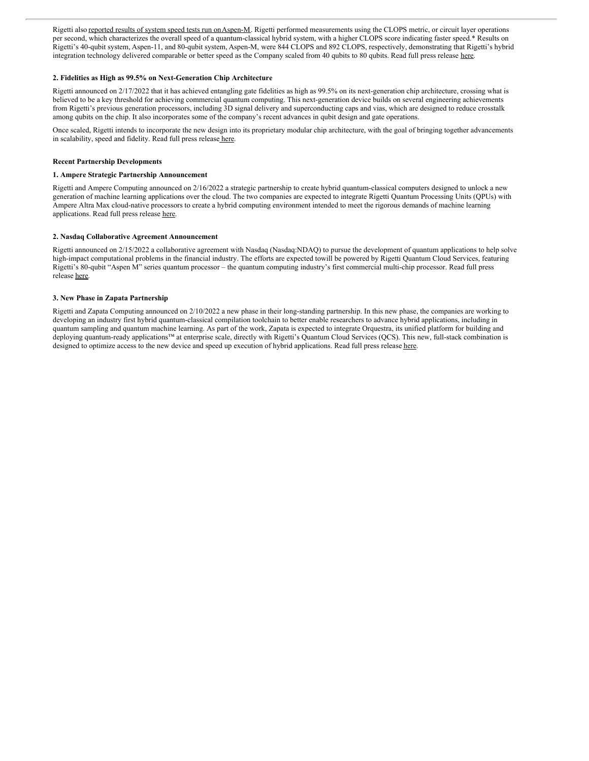Rigetti also reported results of system speed tests run on Aspen-M. Rigetti performed measurements using the CLOPS metric, or circuit layer operations per second, which characterizes the overall speed of a quantum-classical hybrid system, with a higher CLOPS score indicating faster speed.\* Results on Rigetti's 40-qubit system, Aspen-11, and 80-qubit system, Aspen-M, were 844 CLOPS and 892 CLOPS, respectively, demonstrating that Rigetti's hybrid integration technology delivered comparable or better speed as the Company scaled from 40 qubits to 80 qubits. Read full press release here.

# **2. Fidelities as High as 99.5% on Next-Generation Chip Architecture**

Rigetti announced on 2/17/2022 that it has achieved entangling gate fidelities as high as 99.5% on its next-generation chip architecture, crossing what is believed to be a key threshold for achieving commercial quantum computing. This next-generation device builds on several engineering achievements from Rigetti's previous generation processors, including 3D signal delivery and superconducting caps and vias, which are designed to reduce crosstalk among qubits on the chip. It also incorporates some of the company's recent advances in qubit design and gate operations.

Once scaled, Rigetti intends to incorporate the new design into its proprietary modular chip architecture, with the goal of bringing together advancements in scalability, speed and fidelity. Read full press release here.

### **Recent Partnership Developments**

# **1. Ampere Strategic Partnership Announcement**

Rigetti and Ampere Computing announced on 2/16/2022 a strategic partnership to create hybrid quantum-classical computers designed to unlock a new generation of machine learning applications over the cloud. The two companies are expected to integrate Rigetti Quantum Processing Units (QPUs) with Ampere Altra Max cloud-native processors to create a hybrid computing environment intended to meet the rigorous demands of machine learning applications. Read full press release here.

# **2. Nasdaq Collaborative Agreement Announcement**

Rigetti announced on 2/15/2022 a collaborative agreement with Nasdaq (Nasdaq:NDAQ) to pursue the development of quantum applications to help solve high-impact computational problems in the financial industry. The efforts are expected towill be powered by Rigetti Quantum Cloud Services, featuring Rigetti's 80-qubit "Aspen M" series quantum processor – the quantum computing industry's first commercial multi-chip processor. Read full press release here.

### **3. New Phase in Zapata Partnership**

Rigetti and Zapata Computing announced on 2/10/2022 a new phase in their long-standing partnership. In this new phase, the companies are working to developing an industry first hybrid quantum-classical compilation toolchain to better enable researchers to advance hybrid applications, including in quantum sampling and quantum machine learning. As part of the work, Zapata is expected to integrate Orquestra, its unified platform for building and deploying quantum-ready applications™ at enterprise scale, directly with Rigetti's Quantum Cloud Services (QCS). This new, full-stack combination is designed to optimize access to the new device and speed up execution of hybrid applications. Read full press release here.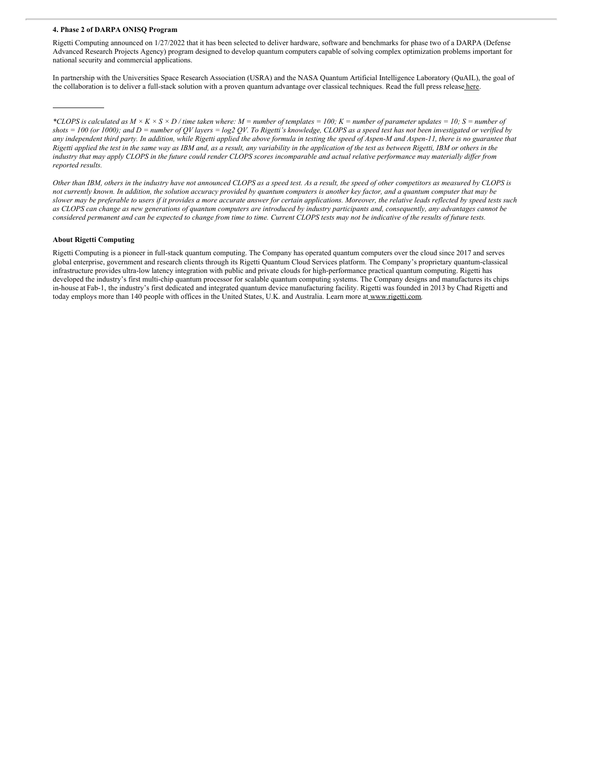# **4. Phase 2 of DARPA ONISQ Program**

Rigetti Computing announced on 1/27/2022 that it has been selected to deliver hardware, software and benchmarks for phase two of a DARPA (Defense Advanced Research Projects Agency) program designed to develop quantum computers capable of solving complex optimization problems important for national security and commercial applications.

In partnership with the Universities Space Research Association (USRA) and the NASA Quantum Artificial Intelligence Laboratory (QuAIL), the goal of the collaboration is to deliver a full-stack solution with a proven quantum advantage over classical techniques. Read the full press release here.

\*CLOPS is calculated as  $M \times K \times S \times D$  / time taken where: M = number of templates = 100; K = number of parameter updates = 10; S = number of shots = 100 (or 1000); and D = number of QV layers = log2 QV. To Rigetti's knowledge, CLOPS as a speed test has not been investigated or verified by any independent third party. In addition, while Rigetti applied the above formula in testing the speed of Aspen-M and Aspen-11, there is no guarantee that Rigetti applied the test in the same way as IBM and, as a result, any variability in the application of the test as between Rigetti, IBM or others in the industry that may apply CLOPS in the future could render CLOPS scores incomparable and actual relative performance may materially differ from *reported results.*

Other than IBM, others in the industry have not announced CLOPS as a speed test. As a result, the speed of other competitors as measured by CLOPS is not currently known. In addition, the solution accuracy provided by quantum computers is another key factor, and a quantum computer that may be slower may be preferable to users if it provides a more accurate answer for certain applications. Moreover, the relative leads reflected by speed tests such as CLOPS can change as new generations of quantum computers are introduced by industry participants and, consequently, any advantages cannot be considered permanent and can be expected to change from time to time. Current CLOPS tests may not be indicative of the results of future tests.

#### **About Rigetti Computing**

Rigetti Computing is a pioneer in full-stack quantum computing. The Company has operated quantum computers over the cloud since 2017 and serves global enterprise, government and research clients through its Rigetti Quantum Cloud Services platform. The Company's proprietary quantum-classical infrastructure provides ultra-low latency integration with public and private clouds for high-performance practical quantum computing. Rigetti has developed the industry's first multi-chip quantum processor for scalable quantum computing systems. The Company designs and manufactures its chips in-house at Fab-1, the industry's first dedicated and integrated quantum device manufacturing facility. Rigetti was founded in 2013 by Chad Rigetti and today employs more than 140 people with offices in the United States, U.K. and Australia. Learn more at www.rigetti.com.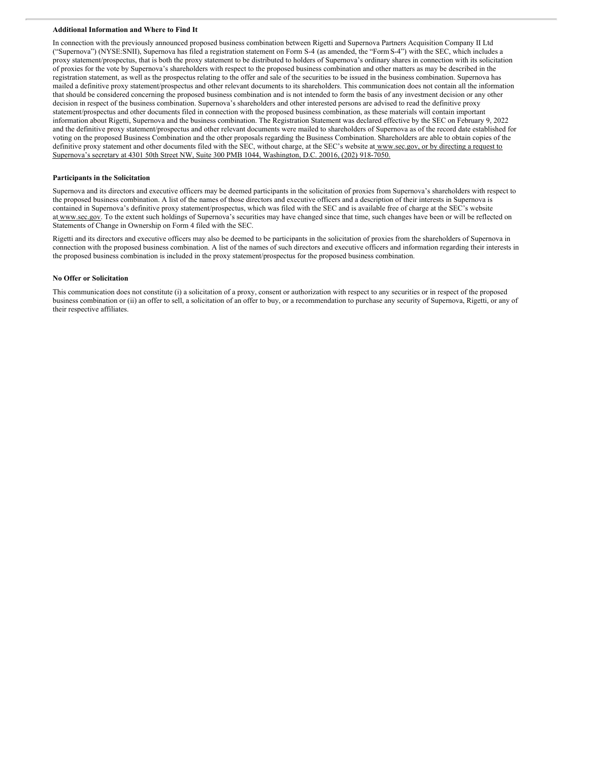### **Additional Information and Where to Find It**

In connection with the previously announced proposed business combination between Rigetti and Supernova Partners Acquisition Company II Ltd ("Supernova") (NYSE:SNII), Supernova has filed a registration statement on Form S-4 (as amended, the "FormS-4") with the SEC, which includes a proxy statement/prospectus, that is both the proxy statement to be distributed to holders of Supernova's ordinary shares in connection with its solicitation of proxies for the vote by Supernova's shareholders with respect to the proposed business combination and other matters as may be described in the registration statement, as well as the prospectus relating to the offer and sale of the securities to be issued in the business combination. Supernova has mailed a definitive proxy statement/prospectus and other relevant documents to its shareholders. This communication does not contain all the information that should be considered concerning the proposed business combination and is not intended to form the basis of any investment decision or any other decision in respect of the business combination. Supernova's shareholders and other interested persons are advised to read the definitive proxy statement/prospectus and other documents filed in connection with the proposed business combination, as these materials will contain important information about Rigetti, Supernova and the business combination. The Registration Statement was declared effective by the SEC on February 9, 2022 and the definitive proxy statement/prospectus and other relevant documents were mailed to shareholders of Supernova as of the record date established for voting on the proposed Business Combination and the other proposals regarding the Business Combination. Shareholders are able to obtain copies of the definitive proxy statement and other documents filed with the SEC, without charge, at the SEC's website at www.sec.gov, or by directing a request to Supernova's secretary at 4301 50th Street NW, Suite 300 PMB 1044, Washington, D.C. 20016, (202) 918-7050.

#### **Participants in the Solicitation**

Supernova and its directors and executive officers may be deemed participants in the solicitation of proxies from Supernova's shareholders with respect to the proposed business combination. A list of the names of those directors and executive officers and a description of their interests in Supernova is contained in Supernova's definitive proxy statement/prospectus, which was filed with the SEC and is available free of charge at the SEC's website at www.sec.gov. To the extent such holdings of Supernova's securities may have changed since that time, such changes have been or will be reflected on Statements of Change in Ownership on Form 4 filed with the SEC.

Rigetti and its directors and executive officers may also be deemed to be participants in the solicitation of proxies from the shareholders of Supernova in connection with the proposed business combination. A list of the names of such directors and executive officers and information regarding their interests in the proposed business combination is included in the proxy statement/prospectus for the proposed business combination.

# **No Offer or Solicitation**

This communication does not constitute (i) a solicitation of a proxy, consent or authorization with respect to any securities or in respect of the proposed business combination or (ii) an offer to sell, a solicitation of an offer to buy, or a recommendation to purchase any security of Supernova, Rigetti, or any of their respective affiliates.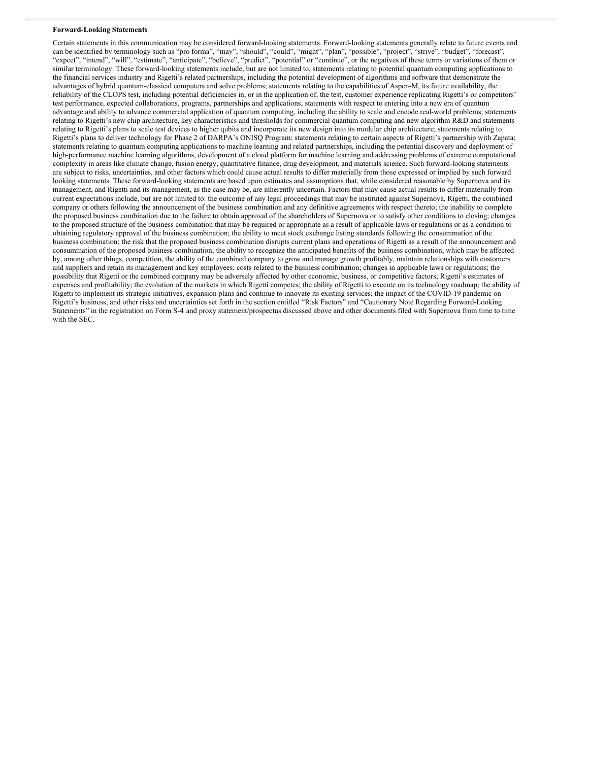#### **Forward-Looking Statements**

Certain statements in this communication may be considered forward-looking statements. Forward-looking statements generally relate to future events and can be identified by terminology such as "pro forma", "may", "should", "could", "might", "plan", "possible", "project", "strive", "budget", "forecast", "expect", "intend", "will", "estimate", "anticipate", "believe", "predict", "potential" or "continue", or the negatives of these terms or variations of them or similar terminology. These forward-looking statements include, but are not limited to, statements relating to potential quantum computing applications to the financial services industry and Rigetti's related partnerships, including the potential development of algorithms and software that demonstrate the advantages of hybrid quantum-classical computers and solve problems; statements relating to the capabilities of Aspen-M, its future availability, the reliability of the CLOPS test, including potential deficiencies in, or in the application of, the test, customer experience replicating Rigetti's or competitors' test performance, expected collaborations, programs, partnerships and applications; statements with respect to entering into a new era of quantum advantage and ability to advance commercial application of quantum computing, including the ability to scale and encode real-world problems; statements relating to Rigetti's new chip architecture, key characteristics and thresholds for commercial quantum computing and new algorithm R&D and statements relating to Rigetti's plans to scale test devices to higher qubits and incorporate its new design into its modular chip architecture; statements relating to Rigetti's plans to deliver technology for Phase 2 of DARPA's ONISQ Program; statements relating to certain aspects of Rigetti's partnership with Zapata; statements relating to quantum computing applications to machine learning and related partnerships, including the potential discovery and deployment of high-performance machine learning algorithms, development of a cloud platform for machine learning and addressing problems of extreme computational complexity in areas like climate change, fusion energy, quantitative finance, drug development, and materials science. Such forward-looking statements are subject to risks, uncertainties, and other factors which could cause actual results to differ materially from those expressed or implied by such forward looking statements. These forward-looking statements are based upon estimates and assumptions that, while considered reasonable by Supernova and its management, and Rigetti and its management, as the case may be, are inherently uncertain. Factors that may cause actual results to differ materially from current expectations include, but are not limited to: the outcome of any legal proceedings that may be instituted against Supernova, Rigetti, the combined company or others following the announcement of the business combination and any definitive agreements with respect thereto; the inability to complete the proposed business combination due to the failure to obtain approval of the shareholders of Supernova or to satisfy other conditions to closing; changes to the proposed structure of the business combination that may be required or appropriate as a result of applicable laws or regulations or as a condition to obtaining regulatory approval of the business combination; the ability to meet stock exchange listing standards following the consummation of the business combination; the risk that the proposed business combination disrupts current plans and operations of Rigetti as a result of the announcement and consummation of the proposed business combination; the ability to recognize the anticipated benefits of the business combination, which may be affected by, among other things, competition, the ability of the combined company to grow and manage growth profitably, maintain relationships with customers and suppliers and retain its management and key employees; costs related to the business combination; changes in applicable laws or regulations; the possibility that Rigetti or the combined company may be adversely affected by other economic, business, or competitive factors; Rigetti's estimates of expenses and profitability; the evolution of the markets in which Rigetti competes; the ability of Rigetti to execute on its technology roadmap; the ability of Rigetti to implement its strategic initiatives, expansion plans and continue to innovate its existing services; the impact of the COVID-19 pandemic on Rigetti's business; and other risks and uncertainties set forth in the section entitled "Risk Factors" and "Cautionary Note Regarding Forward-Looking Statements" in the registration on Form S-4 and proxy statement/prospectus discussed above and other documents filed with Supernova from time to time with the SEC.